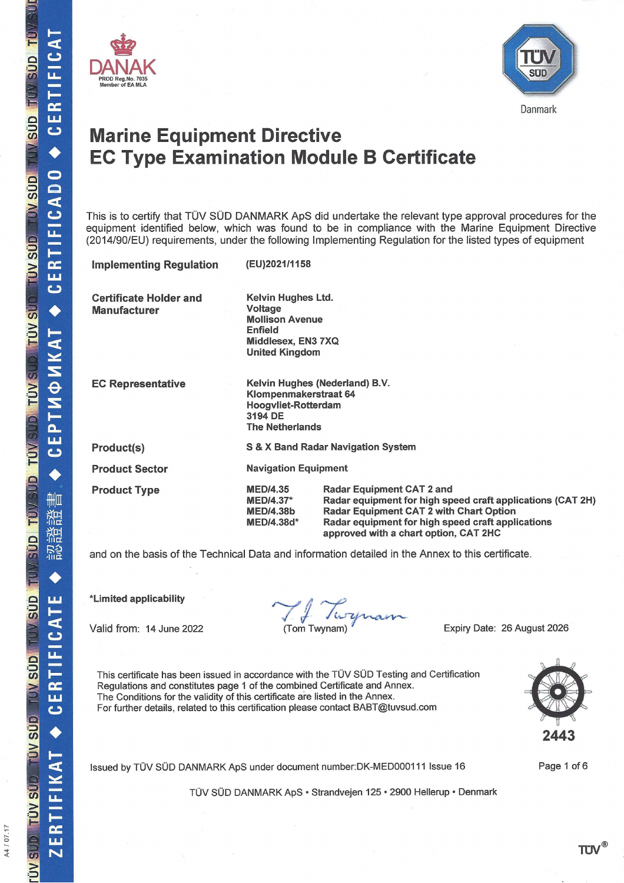A4 / 07.17





# **Marine Equipment Directive EC Type Examination Module B Certificate**

This is to certify that TÜV SÜD DANMARK ApS did undertake the relevant type approval procedures for the equipment identified below, which was found to be in compliance with the Marine Equipment Directive (2014/90/EU) requirements, under the following Implementing Regulation for the listed types of equipment

| <b>Implementing Regulation</b>                       | (EU)2021/1158                                                                                                                                                                                                                                                                                                           |  |  |
|------------------------------------------------------|-------------------------------------------------------------------------------------------------------------------------------------------------------------------------------------------------------------------------------------------------------------------------------------------------------------------------|--|--|
| <b>Certificate Holder and</b><br><b>Manufacturer</b> | Kelvin Hughes Ltd.<br><b>Voltage</b><br><b>Mollison Avenue</b><br><b>Enfield</b><br>Middlesex, EN3 7XQ<br><b>United Kingdom</b>                                                                                                                                                                                         |  |  |
| <b>EC Representative</b>                             | Kelvin Hughes (Nederland) B.V.<br>Klompenmakerstraat 64<br>Hoogyliet-Rotterdam<br>3194 DE<br><b>The Netherlands</b>                                                                                                                                                                                                     |  |  |
| Product(s)                                           | S & X Band Radar Navigation System                                                                                                                                                                                                                                                                                      |  |  |
| <b>Product Sector</b>                                | <b>Navigation Equipment</b>                                                                                                                                                                                                                                                                                             |  |  |
| <b>Product Type</b>                                  | <b>Radar Equipment CAT 2 and</b><br><b>MED/4.35</b><br>Radar equipment for high speed craft applications (CAT 2H)<br><b>MED/4.37*</b><br><b>Radar Equipment CAT 2 with Chart Option</b><br><b>MED/4.38b</b><br>MED/4.38d*<br>Radar equipment for high speed craft applications<br>approved with a chart option, CAT 2HC |  |  |

and on the basis of the Technical Data and information detailed in the Annex to this certificate.

\*Limited applicability

Valid from: 14 June 2022

Ty Turpmann

Expiry Date: 26 August 2026

This certificate has been issued in accordance with the TÜV SÜD Testing and Certification Regulations and constitutes page 1 of the combined Certificate and Annex. The Conditions for the validity of this certificate are listed in the Annex. For further details, related to this certification please contact BABT@tuvsud.com

Issued by TÜV SÜD DANMARK ApS under document number: DK-MED000111 Issue 16

TÜV SÜD DANMARK ApS · Strandvejen 125 · 2900 Hellerup · Denmark



Page 1 of 6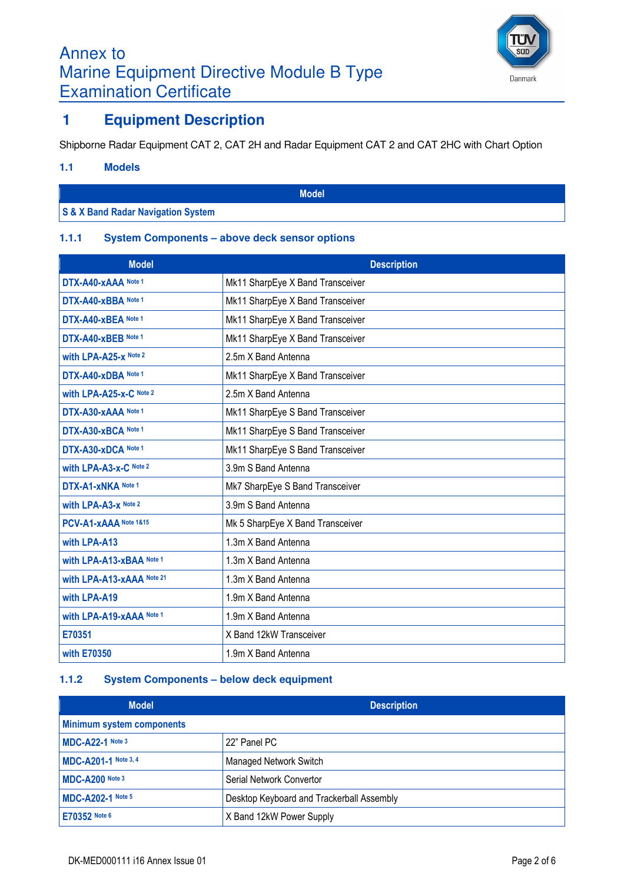

Danmark

## Annex to Marine Equipment Directive Module B Type Examination Certificate

## **1 Equipment Description**

Shipborne Radar Equipment CAT 2, CAT 2H and Radar Equipment CAT 2 and CAT 2HC with Chart Option

#### **1.1 Models**

**Model**

### **S & X Band Radar Navigation System**

### **1.1.1 System Components – above deck sensor options**

| <b>Model</b>                | <b>Description</b>               |
|-----------------------------|----------------------------------|
| DTX-A40-xAAA Note 1         | Mk11 SharpEye X Band Transceiver |
| DTX-A40-xBBA Note 1         | Mk11 SharpEye X Band Transceiver |
| DTX-A40-xBEA Note 1         | Mk11 SharpEye X Band Transceiver |
| DTX-A40-xBEB Note 1         | Mk11 SharpEye X Band Transceiver |
| with LPA-A25-x Note 2       | 2.5m X Band Antenna              |
| DTX-A40-xDBA Note 1         | Mk11 SharpEye X Band Transceiver |
| with LPA-A25-x-C Note 2     | 2.5m X Band Antenna              |
| DTX-A30-xAAA Note 1         | Mk11 SharpEye S Band Transceiver |
| DTX-A30-xBCA Note 1         | Mk11 SharpEye S Band Transceiver |
| DTX-A30-xDCA Note 1         | Mk11 SharpEye S Band Transceiver |
| with LPA-A3-x-C Note 2      | 3.9m S Band Antenna              |
| DTX-A1-xNKA Note 1          | Mk7 SharpEye S Band Transceiver  |
| <b>with LPA-A3-x Note 2</b> | 3.9m S Band Antenna              |
| PCV-A1-xAAA Note 1&15       | Mk 5 SharpEye X Band Transceiver |
| with LPA-A13                | 1.3m X Band Antenna              |
| with LPA-A13-xBAA Note 1    | 1.3m X Band Antenna              |
| with LPA-A13-xAAA Note 21   | 1.3m X Band Antenna              |
| with LPA-A19                | 1.9m X Band Antenna              |
| with LPA-A19-xAAA Note 1    | 1.9m X Band Antenna              |
| E70351                      | X Band 12kW Transceiver          |
| with E70350                 | 1.9m X Band Antenna              |

### **1.1.2 System Components – below deck equipment**

| <b>Model</b>                     | <b>Description</b>                        |  |
|----------------------------------|-------------------------------------------|--|
| <b>Minimum system components</b> |                                           |  |
| MDC-A22-1 Note 3                 | 22" Panel PC                              |  |
| MDC-A201-1 Note 3, 4             | <b>Managed Network Switch</b>             |  |
| MDC-A200 Note 3                  | Serial Network Convertor                  |  |
| <b>MDC-A202-1 Note 5</b>         | Desktop Keyboard and Trackerball Assembly |  |
| E70352 Note 6                    | X Band 12kW Power Supply                  |  |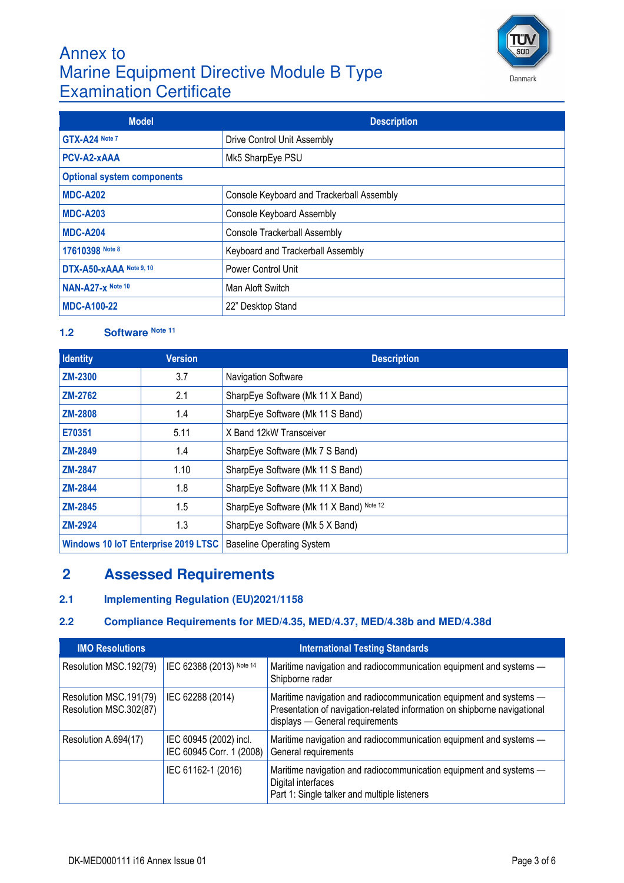## Annex to Marine Equipment Directive Module B Type Examination Certificate



| <b>Model</b>                      | <b>Description</b>                        |  |
|-----------------------------------|-------------------------------------------|--|
| GTX-A24 Note 7                    | Drive Control Unit Assembly               |  |
| PCV-A2-xAAA                       | Mk5 SharpEye PSU                          |  |
| <b>Optional system components</b> |                                           |  |
| <b>MDC-A202</b>                   | Console Keyboard and Trackerball Assembly |  |
| <b>MDC-A203</b>                   | Console Keyboard Assembly                 |  |
| <b>MDC-A204</b>                   | <b>Console Trackerball Assembly</b>       |  |
| 17610398 Note 8                   | Keyboard and Trackerball Assembly         |  |
| DTX-A50-xAAA Note 9, 10           | Power Control Unit                        |  |
| NAN-A27-x Note 10                 | Man Aloft Switch                          |  |
| <b>MDC-A100-22</b>                | 22" Desktop Stand                         |  |

## **1.2 Software Note 11**

| <b>Identity</b> | <b>Version</b>                             | <b>Description</b>                       |
|-----------------|--------------------------------------------|------------------------------------------|
| <b>ZM-2300</b>  | 3.7                                        | Navigation Software                      |
| <b>ZM-2762</b>  | 2.1                                        | SharpEye Software (Mk 11 X Band)         |
| <b>ZM-2808</b>  | 1.4                                        | SharpEye Software (Mk 11 S Band)         |
| E70351          | 5.11                                       | X Band 12kW Transceiver                  |
| <b>ZM-2849</b>  | 1.4                                        | SharpEye Software (Mk 7 S Band)          |
| <b>ZM-2847</b>  | 1.10                                       | SharpEye Software (Mk 11 S Band)         |
| <b>ZM-2844</b>  | 1.8                                        | SharpEye Software (Mk 11 X Band)         |
| <b>ZM-2845</b>  | 1.5                                        | SharpEye Software (Mk 11 X Band) Note 12 |
| <b>ZM-2924</b>  | 1.3                                        | SharpEye Software (Mk 5 X Band)          |
|                 | <b>Windows 10 IoT Enterprise 2019 LTSC</b> | <b>Baseline Operating System</b>         |

## **2 Assessed Requirements**

### **2.1 Implementing Regulation (EU)2021/1158**

### **2.2 Compliance Requirements for MED/4.35, MED/4.37, MED/4.38b and MED/4.38d**

| <b>IMO Resolutions</b>                           | <b>International Testing Standards</b>             |                                                                                                                                                                                   |  |
|--------------------------------------------------|----------------------------------------------------|-----------------------------------------------------------------------------------------------------------------------------------------------------------------------------------|--|
| Resolution MSC.192(79)                           | IEC 62388 (2013) Note 14                           | Maritime navigation and radiocommunication equipment and systems -<br>Shipborne radar                                                                                             |  |
| Resolution MSC.191(79)<br>Resolution MSC.302(87) | IEC 62288 (2014)                                   | Maritime navigation and radiocommunication equipment and systems -<br>Presentation of navigation-related information on shipborne navigational<br>displays - General requirements |  |
| Resolution A.694(17)                             | IEC 60945 (2002) incl.<br>IEC 60945 Corr. 1 (2008) | Maritime navigation and radiocommunication equipment and systems -<br>General requirements                                                                                        |  |
|                                                  | IEC 61162-1 (2016)                                 | Maritime navigation and radiocommunication equipment and systems -<br>Digital interfaces<br>Part 1: Single talker and multiple listeners                                          |  |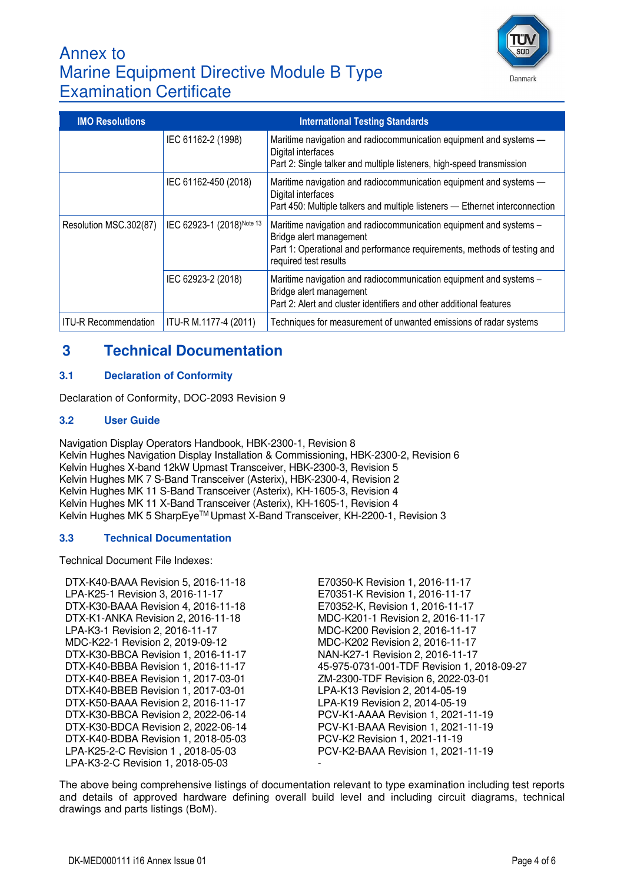

## Annex to Marine Equipment Directive Module B Type Examination Certificate

| <b>IMO Resolutions</b>      | <b>International Testing Standards</b> |                                                                                                                                                                                                    |  |
|-----------------------------|----------------------------------------|----------------------------------------------------------------------------------------------------------------------------------------------------------------------------------------------------|--|
|                             | IEC 61162-2 (1998)                     | Maritime navigation and radiocommunication equipment and systems -<br>Digital interfaces<br>Part 2: Single talker and multiple listeners, high-speed transmission                                  |  |
|                             | IEC 61162-450 (2018)                   | Maritime navigation and radiocommunication equipment and systems -<br>Digital interfaces<br>Part 450: Multiple talkers and multiple listeners - Ethernet interconnection                           |  |
| Resolution MSC.302(87)      | IEC 62923-1 (2018) Note 13             | Maritime navigation and radiocommunication equipment and systems -<br>Bridge alert management<br>Part 1: Operational and performance requirements, methods of testing and<br>required test results |  |
|                             | IEC 62923-2 (2018)                     | Maritime navigation and radiocommunication equipment and systems -<br>Bridge alert management<br>Part 2: Alert and cluster identifiers and other additional features                               |  |
| <b>ITU-R Recommendation</b> | ITU-R M.1177-4 (2011)                  | Techniques for measurement of unwanted emissions of radar systems                                                                                                                                  |  |

## **3 Technical Documentation**

### **3.1 Declaration of Conformity**

Declaration of Conformity, DOC-2093 Revision 9

### **3.2 User Guide**

Navigation Display Operators Handbook, HBK-2300-1, Revision 8 Kelvin Hughes Navigation Display Installation & Commissioning, HBK-2300-2, Revision 6 Kelvin Hughes X-band 12kW Upmast Transceiver, HBK-2300-3, Revision 5 Kelvin Hughes MK 7 S-Band Transceiver (Asterix), HBK-2300-4, Revision 2 Kelvin Hughes MK 11 S-Band Transceiver (Asterix), KH-1605-3, Revision 4 Kelvin Hughes MK 11 X-Band Transceiver (Asterix), KH-1605-1, Revision 4 Kelvin Hughes MK 5 SharpEye™ Upmast X-Band Transceiver, KH-2200-1, Revision 3

#### **3.3 Technical Documentation**

Technical Document File Indexes:

- DTX-K40-BAAA Revision 5, 2016-11-18 E70350-K Revision 1, 2016-11-17 LPA-K25-1 Revision 3, 2016-11-17 E70351-K Revision 1, 2016-11-17 DTX-K30-BAAA Revision 4, 2016-11-18 E70352-K, Revision 1, 2016-11-17 DTX-K1-ANKA Revision 2, 2016-11-18 MDC-K201-1 Revision 2, 2016-11-17 LPA-K3-1 Revision 2, 2016-11-17 MDC-K200 Revision 2, 2016-11-17 MDC-K22-1 Revision 2, 2019-09-12 MDC-K202 Revision 2, 2016-11-17 DTX-K30-BBCA Revision 1, 2016-11-17 NAN-K27-1 Revision 2, 2016-11-17 DTX-K40-BBEA Revision 1, 2017-03-01 ZM-2300-TDF Revision 6, 2022-03-01 DTX-K40-BBEB Revision 1, 2017-03-01 LPA-K13 Revision 2, 2014-05-19 DTX-K50-BAAA Revision 2, 2016-11-17 LPA-K19 Revision 2, 2014-05-19 DTX-K30-BBCA Revision 2, 2022-06-14 PCV-K1-AAAA Revision 1, 2021-11-19 DTX-K30-BDCA Revision 2, 2022-06-14 PCV-K1-BAAA Revision 1, 2021-11-19 DTX-K40-BDBA Revision 1, 2018-05-03 PCV-K2 Revision 1, 2021-11-19 LPA-K25-2-C Revision 1 , 2018-05-03 PCV-K2-BAAA Revision 1, 2021-11-19 LPA-K3-2-C Revision 1, 2018-05-03
- DTX-K40-BBBA Revision 1, 2016-11-17 45-975-0731-001-TDF Revision 1, 2018-09-27

The above being comprehensive listings of documentation relevant to type examination including test reports and details of approved hardware defining overall build level and including circuit diagrams, technical drawings and parts listings (BoM).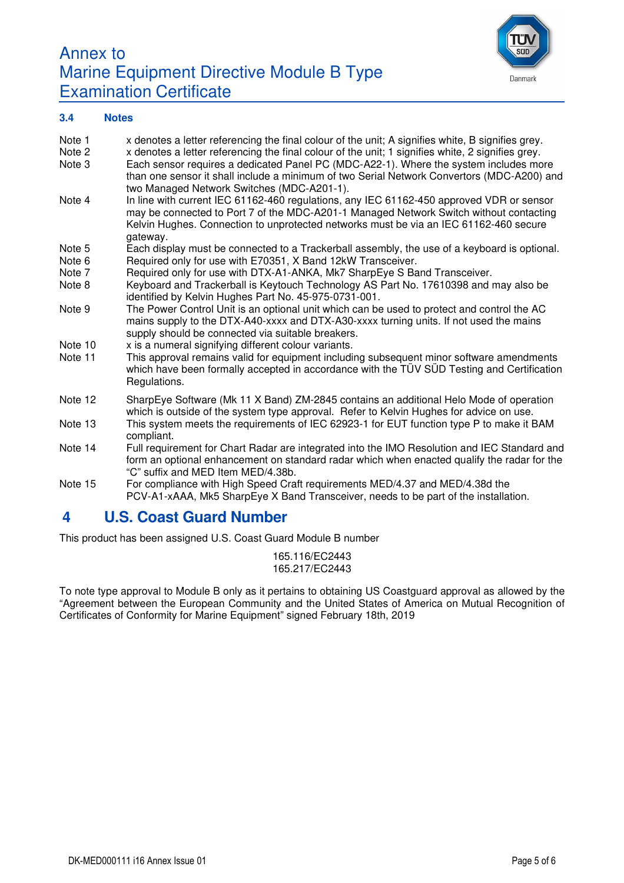



#### **3.4 Notes**

| Note 1<br>Note 2<br>Note 3 | x denotes a letter referencing the final colour of the unit; A signifies white, B signifies grey.<br>x denotes a letter referencing the final colour of the unit; 1 signifies white, 2 signifies grey.<br>Each sensor requires a dedicated Panel PC (MDC-A22-1). Where the system includes more<br>than one sensor it shall include a minimum of two Serial Network Convertors (MDC-A200) and<br>two Managed Network Switches (MDC-A201-1). |
|----------------------------|---------------------------------------------------------------------------------------------------------------------------------------------------------------------------------------------------------------------------------------------------------------------------------------------------------------------------------------------------------------------------------------------------------------------------------------------|
| Note 4                     | In line with current IEC 61162-460 regulations, any IEC 61162-450 approved VDR or sensor<br>may be connected to Port 7 of the MDC-A201-1 Managed Network Switch without contacting<br>Kelvin Hughes. Connection to unprotected networks must be via an IEC 61162-460 secure<br>gateway.                                                                                                                                                     |
| Note 5                     | Each display must be connected to a Trackerball assembly, the use of a keyboard is optional.                                                                                                                                                                                                                                                                                                                                                |
| Note 6                     | Required only for use with E70351, X Band 12kW Transceiver.                                                                                                                                                                                                                                                                                                                                                                                 |
| Note 7                     | Required only for use with DTX-A1-ANKA, Mk7 SharpEye S Band Transceiver.                                                                                                                                                                                                                                                                                                                                                                    |
| Note 8                     | Keyboard and Trackerball is Keytouch Technology AS Part No. 17610398 and may also be<br>identified by Kelvin Hughes Part No. 45-975-0731-001.                                                                                                                                                                                                                                                                                               |
| Note 9                     | The Power Control Unit is an optional unit which can be used to protect and control the AC<br>mains supply to the DTX-A40-xxxx and DTX-A30-xxxx turning units. If not used the mains<br>supply should be connected via suitable breakers.                                                                                                                                                                                                   |
| Note 10                    | x is a numeral signifying different colour variants.                                                                                                                                                                                                                                                                                                                                                                                        |
| Note 11                    | This approval remains valid for equipment including subsequent minor software amendments<br>which have been formally accepted in accordance with the TÜV SÜD Testing and Certification<br>Regulations.                                                                                                                                                                                                                                      |
| Note 12                    | SharpEye Software (Mk 11 X Band) ZM-2845 contains an additional Helo Mode of operation<br>which is outside of the system type approval. Refer to Kelvin Hughes for advice on use.                                                                                                                                                                                                                                                           |
| Note 13                    | This system meets the requirements of IEC 62923-1 for EUT function type P to make it BAM<br>compliant.                                                                                                                                                                                                                                                                                                                                      |
| Note 14                    | Full requirement for Chart Radar are integrated into the IMO Resolution and IEC Standard and<br>form an optional enhancement on standard radar which when enacted qualify the radar for the<br>"C" suffix and MED Item MED/4.38b.                                                                                                                                                                                                           |
| Note 15                    | For compliance with High Speed Craft requirements MED/4.37 and MED/4.38d the<br>PCV-A1-xAAA, Mk5 SharpEye X Band Transceiver, needs to be part of the installation.                                                                                                                                                                                                                                                                         |

## **4 U.S. Coast Guard Number**

This product has been assigned U.S. Coast Guard Module B number

165.116/EC2443 165.217/EC2443

To note type approval to Module B only as it pertains to obtaining US Coastguard approval as allowed by the "Agreement between the European Community and the United States of America on Mutual Recognition of Certificates of Conformity for Marine Equipment" signed February 18th, 2019